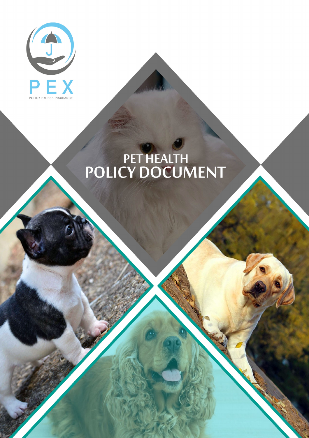

# PET HEALTH<br>POLICY DOCUMENT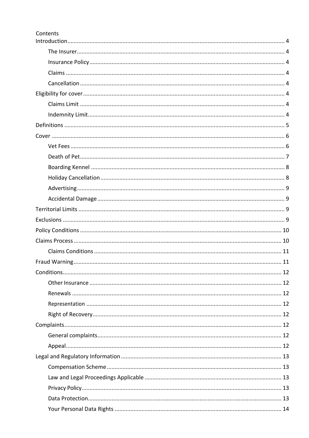| Contents |  |
|----------|--|
|          |  |
|          |  |
|          |  |
|          |  |
|          |  |
|          |  |
|          |  |
|          |  |
|          |  |
|          |  |
|          |  |
|          |  |
|          |  |
|          |  |
|          |  |
|          |  |
|          |  |
|          |  |
|          |  |
|          |  |
|          |  |
|          |  |
|          |  |
|          |  |
|          |  |
|          |  |
|          |  |
|          |  |
|          |  |
|          |  |
|          |  |
|          |  |
|          |  |
|          |  |
|          |  |
|          |  |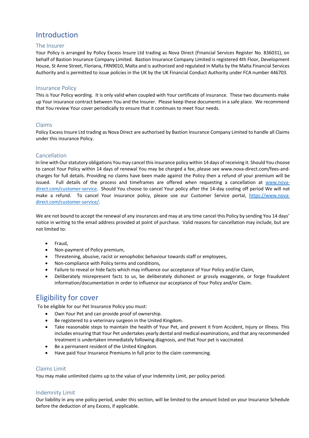# Introduction

# The Insurer

Your Policy is arranged by Policy Excess Insure Ltd trading as Nova Direct (Financial Services Register No. 836031), on behalf of Bastion Insurance Company Limited. Bastion Insurance Company Limited is registered 4th Floor, Development House, St Anne Street, Floriana, FRN9010, Malta and is authorized and regulated in Malta by the Malta Financial Services Authority and is permitted to issue policies in the UK by the UK Financial Conduct Authority under FCA number 446703.

## Insurance Policy

This is Your Policy wording. It is only valid when coupled with Your certificate of insurance. These two documents make up Your insurance contract between You and the Insurer. Please keep these documents in a safe place. We recommend that You review Your cover periodically to ensure that it continues to meet Your needs.

## Claims

Policy Excess Insure Ltd trading as Nova Direct are authorised by Bastion Insurance Company Limited to handle all Claims under this insurance Policy.

## Cancellation

In line with Our statutory obligations You may cancel this insurance policy within 14 days of receiving it. Should You choose to cancel Your Policy within 14 days of renewal You may be charged a fee, please see www.nova-direct.com/fees-andcharges for full details. Providing no claims have been made against the Policy then a refund of your premium will be issued. Full details of the process and timeframes are offered when requesting a cancellation at www.novadirect.com/customer-service. Should You choose to cancel Your policy after the 14-day cooling off period We will not make a refund. To cancel Your insurance policy, please use our Customer Service portal, https://www.novadirect.com/customer-service/.

We are not bound to accept the renewal of any insurances and may at any time cancel this Policy by sending You 14 days' notice in writing to the email address provided at point of purchase. Valid reasons for cancellation may include, but are not limited to:

- Fraud,
- Non-payment of Policy premium,
- Threatening, abusive, racist or xenophobic behaviour towards staff or employees,
- Non-compliance with Policy terms and conditions,
- Failure to reveal or hide facts which may influence our acceptance of Your Policy and/or Claim,
- Deliberately misrepresent facts to us, be deliberately dishonest or grossly exaggerate, or forge fraudulent information/documentation in order to influence our acceptance of Your Policy and/or Claim.

# Eligibility for cover

To be eligible for our Pet Insurance Policy you must:

- Own Your Pet and can provide proof of ownership.
- Be registered to a veterinary surgeon in the United Kingdom.
- Take reasonable steps to maintain the health of Your Pet, and prevent it from Accident, Injury or Illness. This includes ensuring that Your Pet undertakes yearly dental and medical examinations, and that any recommended treatment is undertaken immediately following diagnosis, and that Your pet is vaccinated.
- Be a permanent resident of the United Kingdom.
- Have paid Your Insurance Premiums in full prior to the claim commencing.

# Claims Limit

You may make unlimited claims up to the value of your Indemnity Limit, per policy period.

# Indemnity Limit

Our liability in any one policy period, under this section, will be limited to the amount listed on your Insurance Schedule before the deduction of any Excess, if applicable.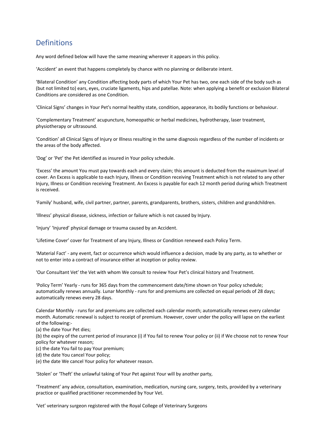# Definitions

Any word defined below will have the same meaning wherever it appears in this policy.

'Accident' an event that happens completely by chance with no planning or deliberate intent.

'Bilateral Condition' any Condition affecting body parts of which Your Pet has two, one each side of the body such as (but not limited to) ears, eyes, cruciate ligaments, hips and patellae. Note: when applying a benefit or exclusion Bilateral Conditions are considered as one Condition.

'Clinical Signs' changes in Your Pet's normal healthy state, condition, appearance, its bodily functions or behaviour.

'Complementary Treatment' acupuncture, homeopathic or herbal medicines, hydrotherapy, laser treatment, physiotherapy or ultrasound.

'Condition' all Clinical Signs of Injury or Illness resulting in the same diagnosis regardless of the number of incidents or the areas of the body affected.

'Dog' or 'Pet' the Pet identified as insured in Your policy schedule.

'Excess' the amount You must pay towards each and every claim; this amount is deducted from the maximum level of cover. An Excess is applicable to each Injury, Illness or Condition receiving Treatment which is not related to any other Injury, Illness or Condition receiving Treatment. An Excess is payable for each 12 month period during which Treatment is received.

'Family' husband, wife, civil partner, partner, parents, grandparents, brothers, sisters, children and grandchildren.

'Illness' physical disease, sickness, infection or failure which is not caused by Injury.

'Injury' 'Injured' physical damage or trauma caused by an Accident.

'Lifetime Cover' cover for Treatment of any Injury, Illness or Condition renewed each Policy Term.

'Material Fact' - any event, fact or occurrence which would influence a decision, made by any party, as to whether or not to enter into a contract of insurance either at inception or policy review.

'Our Consultant Vet' the Vet with whom We consult to review Your Pet's clinical history and Treatment.

'Policy Term' Yearly - runs for 365 days from the commencement date/time shown on Your policy schedule; automatically renews annually. Lunar Monthly - runs for and premiums are collected on equal periods of 28 days; automatically renews every 28 days.

Calendar Monthly - runs for and premiums are collected each calendar month; automatically renews every calendar month. Automatic renewal is subject to receipt of premium. However, cover under the policy will lapse on the earliest of the following:-

(a) the date Your Pet dies;

(b) the expiry of the current period of insurance (i) if You fail to renew Your policy or (ii) if We choose not to renew Your policy for whatever reason;

(c) the date You fail to pay Your premium;

(d) the date You cancel Your policy;

(e) the date We cancel Your policy for whatever reason.

'Stolen' or 'Theft' the unlawful taking of Your Pet against Your will by another party,

'Treatment' any advice, consultation, examination, medication, nursing care, surgery, tests, provided by a veterinary practice or qualified practitioner recommended by Your Vet.

'Vet' veterinary surgeon registered with the Royal College of Veterinary Surgeons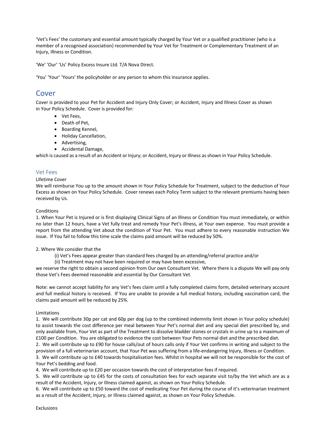'Vet's Fees' the customary and essential amount typically charged by Your Vet or a qualified practitioner (who is a member of a recognised association) recommended by Your Vet for Treatment or Complementary Treatment of an Injury, Illness or Condition.

'We' 'Our' 'Us' Policy Excess Insure Ltd. T/A Nova Direct.

'You' 'Your' 'Yours' the policyholder or any person to whom this insurance applies.

# Cover

Cover is provided to your Pet for Accident and Injury Only Cover; or Accident, Injury and Illness Cover as shown in Your Policy Schedule. Cover is provided for:

- Vet Fees,
- Death of Pet,
- Boarding Kennel,
- Holiday Cancellation,
- Advertising,
- Accidental Damage,

which is caused as a result of an Accident or Injury; or Accident, Injury or Illness as shown in Your Policy Schedule.

# Vet Fees

## Lifetime Cover

We will reimburse You up to the amount shown in Your Policy Schedule for Treatment, subject to the deduction of Your Excess as shown on Your Policy Schedule. Cover renews each Policy Term subject to the relevant premiums having been received by Us.

## **Conditions**

1. When Your Pet is Injured or is first displaying Clinical Signs of an Illness or Condition You must immediately, or within no later than 12 hours, have a Vet fully treat and remedy Your Pet's illness, at Your own expense. You must provide a report from the attending Vet about the condition of Your Pet. You must adhere to every reasonable instruction We issue. If You fail to follow this time scale the claims paid amount will be reduced by 50%.

# 2. Where We consider that the

(i) Vet's Fees appear greater than standard fees charged by an attending/referral practice and/or

(ii) Treatment may not have been required or may have been excessive,

we reserve the right to obtain a second opinion from Our own Consultant Vet. Where there is a dispute We will pay only those Vet's Fees deemed reasonable and essential by Our Consultant Vet.

Note: we cannot accept liability for any Vet's fees claim until a fully completed claims form, detailed veterinary account and full medical history is received. If You are unable to provide a full medical history, including vaccination card, the claims paid amount will be reduced by 25%.

# Limitations

1. We will contribute 30p per cat and 60p per dog (up to the combined indemnity limit shown in Your policy schedule) to assist towards the cost difference per meal between Your Pet's normal diet and any special diet prescribed by, and only available from, Your Vet as part of the Treatment to dissolve bladder stones or crystals in urine up to a maximum of £100 per Condition. You are obligated to evidence the cost between Your Pets normal diet and the prescribed diet.

2. We will contribute up to £90 for house calls/out of hours calls only if Your Vet confirms in writing and subject to the provision of a full veterinarian account, that Your Pet was suffering from a life-endangering Injury, Illness or Condition.

3. We will contribute up to £40 towards hospitalisation fees. Whilst in hospital we will not be responsible for the cost of Your Pet's bedding and food.

4. We will contribute up to £20 per occasion towards the cost of interpretation fees if required.

5. We will contribute up to £45 for the costs of consultation fees for each separate visit to/by the Vet which are as a result of the Accident, Injury, or Illness claimed against, as shown on Your Policy Schedule.

6. We will contribute up to £50 toward the cost of medicating Your Pet during the course of it's veterinarian treatment as a result of the Accident, Injury, or Illness claimed against, as shown on Your Policy Schedule.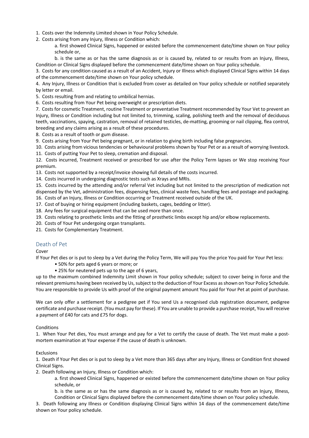- 1. Costs over the Indemnity Limited shown in Your Policy Schedule.
- 2. Costs arising from any Injury, Illness or Condition which:
	- a. first showed Clinical Signs, happened or existed before the commencement date/time shown on Your policy schedule or,

b. is the same as or has the same diagnosis as or is caused by, related to or results from an Injury, Illness, Condition or Clinical Signs displayed before the commencement date/time shown on Your policy schedule.

3. Costs for any condition caused as a result of an Accident, Injury or Illness which displayed Clinical Signs within 14 days of the commencement date/time shown on Your policy schedule.

4. Any Injury, Illness or Condition that is excluded from cover as detailed on Your policy schedule or notified separately by letter or email.

5. Costs resulting from and relating to umbilical hernias.

6. Costs resulting from Your Pet being overweight or prescription diets.

7. Costs for cosmetic Treatment, routine Treatment or preventative Treatment recommended by Your Vet to prevent an Injury, Illness or Condition including but not limited to, trimming, scaling, polishing teeth and the removal of deciduous teeth, vaccinations, spaying, castration, removal of retained testicles, de-matting, grooming or nail clipping, flea control, breeding and any claims arising as a result of these procedures.

8. Costs as a result of tooth or gum disease.

9. Costs arising from Your Pet being pregnant, or in relation to giving birth including false pregnancies.

10. Costs arising from vicious tendencies or behavioural problems shown by Your Pet or as a result of worrying livestock.

11. Costs of putting Your Pet to sleep, cremation and disposal.

12. Costs incurred, Treatment received or prescribed for use after the Policy Term lapses or We stop receiving Your premium.

13. Costs not supported by a receipt/invoice showing full details of the costs incurred.

14. Costs incurred in undergoing diagnostic tests such as Xrays and MRIs.

15. Costs incurred by the attending and/or referral Vet including but not limited to the prescription of medication not dispensed by the Vet, administration fees, dispensing fees, clinical waste fees, handling fees and postage and packaging. 16. Costs of an Injury, Illness or Condition occurring or Treatment received outside of the UK.

17. Cost of buying or hiring equipment (including baskets, cages, bedding or litter).

18. Any fees for surgical equipment that can be used more than once.

19. Costs relating to prosthetic limbs and the fitting of prosthetic limbs except hip and/or elbow replacements.

20. Costs of Your Pet undergoing organ transplants.

21. Costs for Complementary Treatment.

# Death of Pet

Cover

If Your Pet dies or is put to sleep by a Vet during the Policy Term, We will pay You the price You paid for Your Pet less:

- 50% for pets aged 6 years or more; or
- 25% for neutered pets up to the age of 6 years,

up to the maximum combined Indemnity Limit shown in Your policy schedule; subject to cover being in force and the relevant premiums having been received by Us, subject to the deduction of Your Excess as shown on Your Policy Schedule. You are responsible to provide Us with proof of the original payment amount You paid for Your Pet at point of purchase.

We can only offer a settlement for a pedigree pet if You send Us a recognised club registration document, pedigree certificate and purchase receipt. (You must pay for these). If You are unable to provide a purchase receipt, You will receive a payment of £40 for cats and £75 for dogs.

#### **Conditions**

1. When Your Pet dies, You must arrange and pay for a Vet to certify the cause of death. The Vet must make a postmortem examination at Your expense if the cause of death is unknown.

#### Exclusions

1. Death if Your Pet dies or is put to sleep by a Vet more than 365 days after any Injury, Illness or Condition first showed Clinical Signs.

2. Death following an Injury, Illness or Condition which:

a. first showed Clinical Signs, happened or existed before the commencement date/time shown on Your policy schedule, or

b. is the same as or has the same diagnosis as or is caused by, related to or results from an Injury, Illness, Condition or Clinical Signs displayed before the commencement date/time shown on Your policy schedule.

3. Death following any Illness or Condition displaying Clinical Signs within 14 days of the commencement date/time shown on Your policy schedule.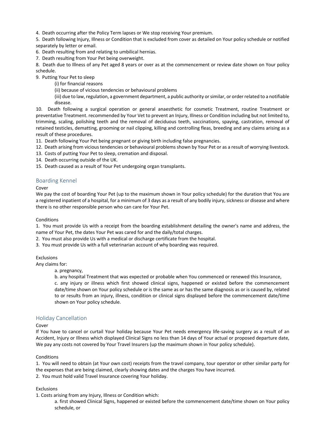4. Death occurring after the Policy Term lapses or We stop receiving Your premium.

5. Death following Injury, Illness or Condition that is excluded from cover as detailed on Your policy schedule or notified separately by letter or email.

6. Death resulting from and relating to umbilical hernias.

7. Death resulting from Your Pet being overweight.

8. Death due to Illness of any Pet aged 8 years or over as at the commencement or review date shown on Your policy schedule.

9. Putting Your Pet to sleep

(i) for financial reasons

(ii) because of vicious tendencies or behavioural problems

(iii) due to law, regulation, a government department, a public authority or similar, or order related to a notifiable disease.

10. Death following a surgical operation or general anaesthetic for cosmetic Treatment, routine Treatment or preventative Treatment. recommended by Your Vet to prevent an Injury, Illness or Condition including but not limited to, trimming, scaling, polishing teeth and the removal of deciduous teeth, vaccinations, spaying, castration, removal of retained testicles, dematting, grooming or nail clipping, killing and controlling fleas, breeding and any claims arising as a result of these procedures.

11. Death following Your Pet being pregnant or giving birth including false pregnancies.

- 12. Death arising from vicious tendencies or behavioural problems shown by Your Pet or as a result of worrying livestock.
- 13. Costs of putting Your Pet to sleep, cremation and disposal.
- 14. Death occurring outside of the UK.

15. Death caused as a result of Your Pet undergoing organ transplants.

## Boarding Kennel

Cover

We pay the cost of boarding Your Pet (up to the maximum shown in Your policy schedule) for the duration that You are a registered inpatient of a hospital, for a minimum of 3 days as a result of any bodily injury, sickness or disease and where there is no other responsible person who can care for Your Pet.

#### Conditions

1. You must provide Us with a receipt from the boarding establishment detailing the owner's name and address, the name of Your Pet, the dates Your Pet was cared for and the daily/total charges.

- 2. You must also provide Us with a medical or discharge certificate from the hospital.
- 3. You must provide Us with a full veterinarian account of why boarding was required.

#### Exclusions

Any claims for:

a. pregnancy,

b. any hospital Treatment that was expected or probable when You commenced or renewed this Insurance,

c. any injury or illness which first showed clinical signs, happened or existed before the commencement date/time shown on Your policy schedule or is the same as or has the same diagnosis as or is caused by, related to or results from an injury, illness, condition or clinical signs displayed before the commencement date/time shown on Your policy schedule.

# Holiday Cancellation

#### Cover

If You have to cancel or curtail Your holiday because Your Pet needs emergency life-saving surgery as a result of an Accident, Injury or Illness which displayed Clinical Signs no less than 14 days of Your actual or proposed departure date, We pay any costs not covered by Your Travel Insurers (up the maximum shown in Your policy schedule).

#### **Conditions**

1. You will need to obtain (at Your own cost) receipts from the travel company, tour operator or other similar party for the expenses that are being claimed, clearly showing dates and the charges You have incurred.

2. You must hold valid Travel Insurance covering Your holiday.

#### Exclusions

1. Costs arising from any Injury, Illness or Condition which:

a. first showed Clinical Signs, happened or existed before the commencement date/time shown on Your policy schedule, or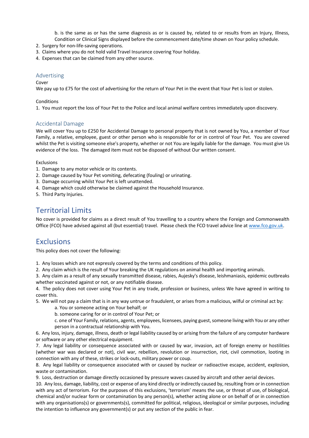b. is the same as or has the same diagnosis as or is caused by, related to or results from an Injury, Illness, Condition or Clinical Signs displayed before the commencement date/time shown on Your policy schedule.

- 2. Surgery for non-life-saving operations.
- 3. Claims where you do not hold valid Travel Insurance covering Your holiday.
- 4. Expenses that can be claimed from any other source.

#### Advertising

## Cover

We pay up to £75 for the cost of advertising for the return of Your Pet in the event that Your Pet is lost or stolen.

#### Conditions

1. You must report the loss of Your Pet to the Police and local animal welfare centres immediately upon discovery.

# Accidental Damage

We will cover You up to £250 for Accidental Damage to personal property that is not owned by You, a member of Your Family, a relative, employee, guest or other person who is responsible for or in control of Your Pet. You are covered whilst the Pet is visiting someone else's property, whether or not You are legally liable for the damage. You must give Us evidence of the loss. The damaged item must not be disposed of without Our written consent.

#### Exclusions

- 1. Damage to any motor vehicle or its contents.
- 2. Damage caused by Your Pet vomiting, defecating (fouling) or urinating.
- 3. Damage occurring whilst Your Pet is left unattended.
- 4. Damage which could otherwise be claimed against the Household Insurance.
- 5. Third Party Injuries.

# Territorial Limits

No cover is provided for claims as a direct result of You travelling to a country where the Foreign and Commonwealth Office (FCO) have advised against all (but essential) travel. Please check the FCO travel advice line at www.fco.gov.uk.

# **Exclusions**

This policy does not cover the following:

1. Any losses which are not expressly covered by the terms and conditions of this policy.

2. Any claim which is the result of Your breaking the UK regulations on animal health and importing animals.

3. Any claim as a result of any sexually transmitted disease, rabies, Aujesky's disease, leishmaniasis, epidemic outbreaks whether vaccinated against or not, or any notifiable disease.

4. The policy does not cover using Your Pet in any trade, profession or business, unless We have agreed in writing to cover this.

5. We will not pay a claim that is in any way untrue or fraudulent, or arises from a malicious, wilful or criminal act by:

- a. You or someone acting on Your behalf; or
- b. someone caring for or in control of Your Pet; or
- c. one of Your Family, relations, agents, employees, licensees, paying guest, someone living with You or any other person in a contractual relationship with You.

6. Any loss, injury, damage, illness, death or legal liability caused by or arising from the failure of any computer hardware or software or any other electrical equipment.

7. Any legal liability or consequence associated with or caused by war, invasion, act of foreign enemy or hostilities (whether war was declared or not), civil war, rebellion, revolution or insurrection, riot, civil commotion, looting in connection with any of these, strikes or lock-outs, military power or coup.

8. Any legal liability or consequence associated with or caused by nuclear or radioactive escape, accident, explosion, waste or contamination.

9. Loss, destruction or damage directly occasioned by pressure waves caused by aircraft and other aerial devices.

10. Any loss, damage, liability, cost or expense of any kind directly or indirectly caused by, resulting from or in connection with any act of terrorism. For the purposes of this exclusions, 'terrorism' means the use, or threat of use, of biological, chemical and/or nuclear form or contamination by any person(s), whether acting alone or on behalf of or in connection with any organisations(s) or governments(s), committed for political, religious, ideological or similar purposes, including the intention to influence any government(s) or put any section of the public in fear.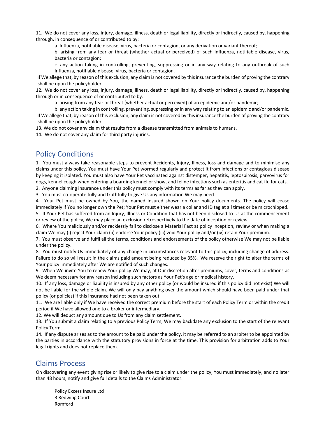11. We do not cover any loss, injury, damage, illness, death or legal liability, directly or indirectly, caused by, happening through, in consequence of or contributed to by:

a. Influenza, notifiable disease, virus, bacteria or contagion, or any derivation or variant thereof;

b. arising from any fear or threat (whether actual or perceived) of such Influenza, notifiable disease, virus, bacteria or contagion;

c. any action taking in controlling, preventing, suppressing or in any way relating to any outbreak of such Influenza, notifiable disease, virus, bacteria or contagion.

If We allege that, by reason of this exclusion, any claim is not covered by this insurance the burden of proving the contrary shall be upon the policyholder.

12. We do not cover any loss, injury, damage, illness, death or legal liability, directly or indirectly, caused by, happening through or in consequence of or contributed to by:

a. arising from any fear or threat (whether actual or perceived) of an epidemic and/or pandemic;

b. any action taking in controlling, preventing, supressing or in any way relating to an epidemic and/or pandemic. If We allege that, by reason of this exclusion, any claim is not covered by this insurance the burden of proving the contrary shall be upon the policyholder.

13. We do not cover any claim that results from a disease transmitted from animals to humans.

14. We do not cover any claim for third party injuries.

# Policy Conditions

1. You must always take reasonable steps to prevent Accidents, Injury, Illness, loss and damage and to minimise any claims under this policy. You must have Your Pet wormed regularly and protect it from infections or contagious disease by keeping it isolated. You must also have Your Pet vaccinated against distemper, hepatitis, leptospirosis, parvovirus for dogs, kennel cough when entering a boarding kennel or show, and feline infections such as enteritis and cat flu for cats.

2. Anyone claiming insurance under this policy must comply with its terms as far as they can apply.

3. You must co-operate fully and truthfully to give Us any information We may need.

4. Your Pet must be owned by You, the named insured shown on Your policy documents. The policy will cease immediately if You no longer own the Pet; Your Pet must either wear a collar and ID tag at all times or be microchipped. 5. If Your Pet has suffered from an Injury, Illness or Condition that has not been disclosed to Us at the commencement or review of the policy, We may place an exclusion retrospectively to the date of inception or review.

6. Where You maliciously and/or recklessly fail to disclose a Material Fact at policy inception, review or when making a claim We may (i) reject Your claim (ii) endorse Your policy (iii) void Your policy and/or (iv) retain Your premium.

7. You must observe and fulfil all the terms, conditions and endorsements of the policy otherwise We may not be liable under the policy.

8. You must notify Us immediately of any change in circumstances relevant to this policy, including change of address. Failure to do so will result in the claims paid amount being reduced by 35%. We reserve the right to alter the terms of Your policy immediately after We are notified of such changes.

9. When We invite You to renew Your policy We may, at Our discretion alter premiums, cover, terms and conditions as We deem necessary for any reason including such factors as Your Pet's age or medical history.

10. If any loss, damage or liability is insured by any other policy (or would be insured if this policy did not exist) We will not be liable for the whole claim. We will only pay anything over the amount which should have been paid under that policy (or policies) if this insurance had not been taken out.

11. We are liable only if We have received the correct premium before the start of each Policy Term or within the credit period if We have allowed one to a broker or intermediary.

12. We will deduct any amount due to Us from any claim settlement.

13. If You submit a claim relating to a previous Policy Term, We may backdate any exclusion to the start of the relevant Policy Term.

14. If any dispute arises as to the amount to be paid under the policy, it may be referred to an arbiter to be appointed by the parties in accordance with the statutory provisions in force at the time. This provision for arbitration adds to Your legal rights and does not replace them.

# Claims Process

On discovering any event giving rise or likely to give rise to a claim under the policy, You must immediately, and no later than 48 hours, notify and give full details to the Claims Administrator:

Policy Excess Insure Ltd 3 Redwing Court Romford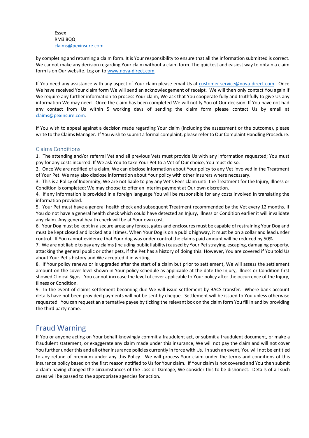#### Essex RM3 8QQ claims@pexinsure.com

by completing and returning a claim form. It is Your responsibility to ensure that all the information submitted is correct. We cannot make any decision regarding Your claim without a claim form. The quickest and easiest way to obtain a claim form is on Our website. Log on to www.nova-direct.com.

If You need any assistance with any aspect of Your claim please email Us at customer.service@nova-direct.com. Once We have received Your claim form We will send an acknowledgement of receipt. We will then only contact You again if We require any further information to process Your claim; We ask that You cooperate fully and truthfully to give Us any information We may need. Once the claim has been completed We will notify You of Our decision. If You have not had any contact from Us within 5 working days of sending the claim form please contact Us by email at claims@pexinsure.com.

If You wish to appeal against a decision made regarding Your claim (including the assessment or the outcome), please write to the Claims Manager. If You wish to submit a formal complaint, please refer to Our Complaint Handling Procedure.

# Claims Conditions

1. The attending and/or referral Vet and all previous Vets must provide Us with any information requested; You must pay for any costs incurred. If We ask You to take Your Pet to a Vet of Our choice, You must do so.

2. Once We are notified of a claim, We can disclose information about Your policy to any Vet involved in the Treatment of Your Pet. We may also disclose information about Your policy with other insurers where necessary.

3. This is a Policy of Indemnity; We are not liable to pay any Vet's Fees claim until the Treatment for the Injury, Illness or Condition is completed; We may choose to offer an interim payment at Our own discretion.

4. If any information is provided in a foreign language You will be responsible for any costs involved in translating the information provided.

5. Your Pet must have a general health check and subsequent Treatment recommended by the Vet every 12 months. If You do not have a general health check which could have detected an Injury, Illness or Condition earlier it will invalidate any claim. Any general health check will be at Your own cost.

6. Your Dog must be kept in a secure area; any fences, gates and enclosures must be capable of restraining Your Dog and must be kept closed and locked at all times. When Your Dog is on a public highway, it must be on a collar and lead under control. If You cannot evidence that Your dog was under control the claims paid amount will be reduced by 50%.

7. We are not liable to pay any claims (including public liability) caused by Your Pet straying, escaping, damaging property, attacking the general public or other pets, if the Pet has a history of doing this. However, You are covered if You told Us about Your Pet's history and We accepted it in writing.

8. If Your policy renews or is upgraded after the start of a claim but prior to settlement, We will assess the settlement amount on the cover level shown in Your policy schedule as applicable at the date the Injury, Illness or Condition first showed Clinical Signs. You cannot increase the level of cover applicable to Your policy after the occurrence of the Injury, Illness or Condition.

9. In the event of claims settlement becoming due We will issue settlement by BACS transfer. Where bank account details have not been provided payments will not be sent by cheque. Settlement will be issued to You unless otherwise requested. You can request an alternative payee by ticking the relevant box on the claim form You fill in and by providing the third party name.

# Fraud Warning

If You or anyone acting on Your behalf knowingly commit a fraudulent act, or submit a fraudulent document, or make a fraudulent statement, or exaggerate any claim made under this insurance, We will not pay the claim and will not cover You further under this and all other insurance policies currently in force with Us. In such an event, You will not be entitled to any refund of premium under any this Policy. We will process Your claim under the terms and conditions of this insurance policy based on the first reason notified to Us for Your claim. If Your claim is not covered and You then submit a claim having changed the circumstances of the Loss or Damage, We consider this to be dishonest. Details of all such cases will be passed to the appropriate agencies for action.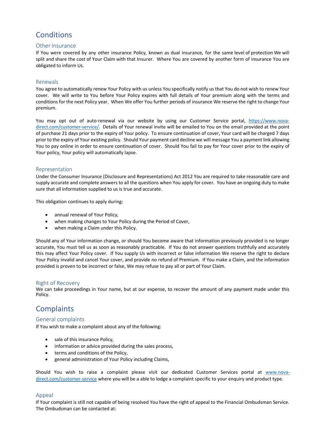# **Conditions**

## Other Insurance

If You were covered by any other insurance Policy, known as dual insurance, for the same level of protection We will split and share the cost of Your Claim with that Insurer. Where You are covered by another form of insurance You are obligated to inform Us.

## Renewals

You agree to automatically renew Your Policy with us unless You specifically notify us that You do not wish to renew Your cover. We will write to You before Your Policy expires with full details of Your premium along with the terms and conditions for the next Policy year. When We offer You further periods of insurance We reserve the right to change Your premium.

You may opt out of auto-renewal via our website by using our Customer Service portal, https://www.novadirect.com/customer-service/. Details of Your renewal invite will be emailed to You on the email provided at the point of purchase 21 days prior to the expiry of Your policy. To ensure continuation of cover, Your card will be charged 7 days prior to the expiry of Your existing policy. Should Your payment card decline we will message You a payment link allowing You to pay online in order to ensure continuation of cover. Should You fail to pay for Your cover prior to the expiry of Your policy, Your policy will automatically lapse.

## Representation

Under the Consumer Insurance (Disclosure and Representations) Act 2012 You are required to take reasonable care and supply accurate and complete answers to all the questions when You apply for cover. You have an ongoing duty to make sure that all information supplied to us is true and accurate.

This obligation continues to apply during:

- annual renewal of Your Policy,
- when making changes to Your Policy during the Period of Cover,
- when making a Claim under this Policy.

Should any of Your information change, or should You become aware that information previously provided is no longer accurate, You must tell us as soon as reasonably practicable. If You do not answer questions truthfully and accurately this may affect Your Policy cover. If You supply Us with incorrect or false information We reserve the right to declare Your Policy invalid and cancel Your cover, and provide no refund of Premium. If You make a Claim, and the information provided is proven to be incorrect or false, We may refuse to pay all or part of Your Claim.

#### Right of Recovery

We can take proceedings in Your name, but at our expense, to recover the amount of any payment made under this Policy.

# **Complaints**

#### General complaints

If You wish to make a complaint about any of the following:

- sale of this insurance Policy,
- information or advice provided during the sales process,
- terms and conditions of the Policy,
- general administration of Your Policy including Claims,

Should You wish to raise a complaint please visit our dedicated Customer Services portal at www.novadirect.com/customer-service where you will be a able to lodge a complaint specific to your enquiry and product type.

# Appeal

If Your complaint is still not capable of being resolved You have the right of appeal to the Financial Ombudsman Service. The Ombudsman can be contacted at: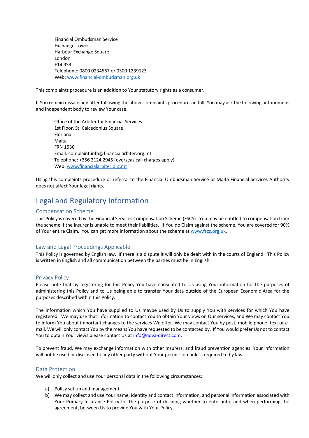Financial Ombudsman Service Exchange Tower Harbour Exchange Square London E14 9SR Telephone: 0800 0234567 or 0300 1239123 Web: www.financial-ombudsman.org.uk

This complaints procedure is an addition to Your statutory rights as a consumer.

If You remain dissatisfied after following the above complaints procedures in full, You may ask the following autonomous and independent body to review Your case.

Office of the Arbiter for Financial Services 1st Floor, St. Calcedonius Square Floriana Malta FRN 1530 Email: complaint.info@financialarbiter.org.mt Telephone: +356 2124 2945 (overseas call charges apply) Web: www.financialarbiter.org.mt

Using this complaints procedure or referral to the Financial Ombudsman Service or Malta Financial Services Authority does not affect Your legal rights.

# Legal and Regulatory Information

#### Compensation Scheme

This Policy is covered by the Financial Services Compensation Scheme (FSCS). You may be entitled to compensation from the scheme if the Insurer is unable to meet their liabilities. If You do Claim against the scheme, You are covered for 90% of Your entire Claim. You can get more information about the scheme at www.fscs.org.uk.

#### Law and Legal Proceedings Applicable

This Policy is governed by English law. If there is a dispute it will only be dealt with in the courts of England. This Policy is written in English and all communication between the parties must be in English.

#### Privacy Policy

Please note that by registering for this Policy You have consented to Us using Your information for the purposes of administering this Policy and to Us being able to transfer Your data outside of the European Economic Area for the purposes described within this Policy.

The information which You have supplied to Us maybe used by Us to supply You with services for which You have registered. We may use that information to contact You to obtain Your views on Our services, and We may contact You to inform You about important changes to the services We offer. We may contact You by post, mobile phone, text or email. We will only contact You by the means You have requested to be contacted by. If You would prefer Us not to contact You to obtain Your views please contact Us at info@nova-direct.com.

To prevent fraud, We may exchange information with other Insurers, and fraud prevention agencies. Your information will not be used or disclosed to any other party without Your permission unless required to by law.

#### Data Protection

We will only collect and use Your personal data in the following circumstances:

- a) Policy set up and management,
- b) We may collect and use Your name, identity and contact information, and personal information associated with Your Primary Insurance Policy for the purpose of deciding whether to enter into, and when performing the agreement, between Us to provide You with Your Policy,